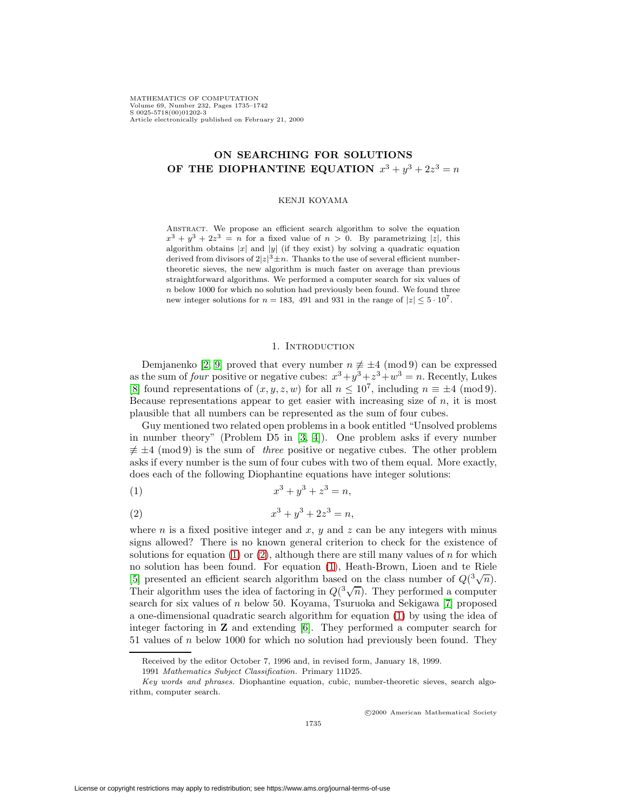MATHEMATICS OF COMPUTATION Volume 69, Number 232, Pages 1735–1742 S 0025-5718(00)01202-3 Article electronically published on February 21, 2000

# **ON SEARCHING FOR SOLUTIONS OF THE DIOPHANTINE EQUATION**  $x^3 + y^3 + 2z^3 = n$

### KENJI KOYAMA

Abstract. We propose an efficient search algorithm to solve the equation  $x^3 + y^3 + 2z^3 = n$  for a fixed value of  $n > 0$ . By parametrizing |z|, this algorithm obtains |x| and |y| (if they exist) by solving a quadratic equation derived from divisors of  $2|z|^3 \pm n$ . Thanks to the use of several efficient numbertheoretic sieves, the new algorithm is much faster on average than previous straightforward algorithms. We performed a computer search for six values of n below 1000 for which no solution had previously been found. We found three new integer solutions for  $n = 183$ , 491 and 931 in the range of  $|z| \leq 5 \cdot 10^7$ .

#### 1. Introduction

Demjanenko [\[2,](#page-6-0) [9\]](#page-7-0) proved that every number  $n \neq \pm 4 \pmod{9}$  can be expressed as the sum of four positive or negative cubes:  $x^3 + y^3 + z^3 + w^3 = n$ . Recently, Lukes [\[8\]](#page-7-1) found representations of  $(x, y, z, w)$  for all  $n \leq 10^7$ , including  $n \equiv \pm 4 \pmod{9}$ . Because representations appear to get easier with increasing size of  $n$ , it is most plausible that all numbers can be represented as the sum of four cubes.

Guy mentioned two related open problems in a book entitled "Unsolved problems in number theory" (Problem D5 in [\[3,](#page-6-1) [4\]](#page-6-2)). One problem asks if every number  $\neq \pm 4 \pmod{9}$  is the sum of *three* positive or negative cubes. The other problem asks if every number is the sum of four cubes with two of them equal. More exactly, does each of the following Diophantine equations have integer solutions:

<span id="page-0-1"></span><span id="page-0-0"></span>(1) 
$$
x^3 + y^3 + z^3 = n,
$$

(2) 
$$
x^3 + y^3 + 2z^3 = n,
$$

where n is a fixed positive integer and  $x, y$  and  $z$  can be any integers with minus signs allowed? There is no known general criterion to check for the existence of solutions for equation [\(1\)](#page-0-0) or [\(2\)](#page-0-1), although there are still many values of n for which no solution has been found. For equation [\(1\)](#page-0-0), Heath-Brown, Lioen and te Riele [\[5\]](#page-7-2) presented an efficient search algorithm based on the class number of  $Q(\sqrt[3]{n})$ . Their algorithm uses the idea of factoring in  $Q(\sqrt[3]{n})$ . They performed a computer search for six values of n below 50. Koyama, Tsuruoka and Sekigawa [\[7\]](#page-7-3) proposed a one-dimensional quadratic search algorithm for equation [\(1\)](#page-0-0) by using the idea of integer factoring in **Z** and extending [\[6\]](#page-7-4). They performed a computer search for 51 values of n below 1000 for which no solution had previously been found. They

c 2000 American Mathematical Society

Received by the editor October 7, 1996 and, in revised form, January 18, 1999.

<sup>1991</sup> Mathematics Subject Classification. Primary 11D25.

Key words and phrases. Diophantine equation, cubic, number-theoretic sieves, search algorithm, computer search.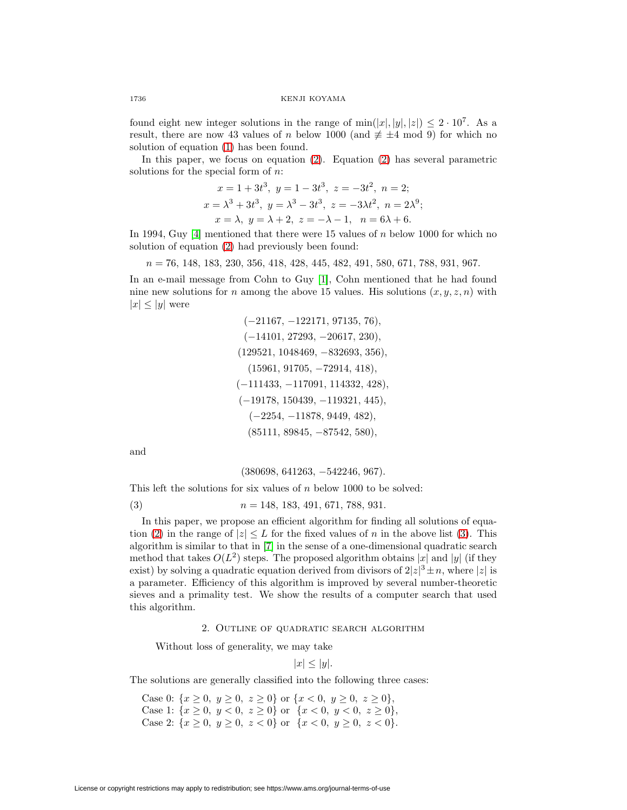found eight new integer solutions in the range of  $\min(|x|, |y|, |z|) \leq 2 \cdot 10^7$ . As a result, there are now 43 values of n below 1000 (and  $\neq \pm 4 \mod 9$ ) for which no solution of equation [\(1\)](#page-0-0) has been found.

In this paper, we focus on equation [\(2\)](#page-0-1). Equation [\(2\)](#page-0-1) has several parametric solutions for the special form of  $n$ .

$$
x = 1 + 3t3, y = 1 - 3t3, z = -3t2, n = 2;
$$
  
\n
$$
x = \lambda3 + 3t3, y = \lambda3 - 3t3, z = -3\lambda t2, n = 2\lambda9;
$$
  
\n
$$
x = \lambda, y = \lambda + 2, z = -\lambda - 1, n = 6\lambda + 6.
$$

In 1994, Guy [\[4\]](#page-6-2) mentioned that there were 15 values of  $n$  below 1000 for which no solution of equation [\(2\)](#page-0-1) had previously been found:

 $n = 76, 148, 183, 230, 356, 418, 428, 445, 482, 491, 580, 671, 788, 931, 967.$ 

In an e-mail message from Cohn to Guy [\[1\]](#page-6-3), Cohn mentioned that he had found nine new solutions for n among the above 15 values. His solutions  $(x, y, z, n)$  with  $|x| \leq |y|$  were

$$
(-21167, -122171, 97135, 76),
$$
  
\n $(-14101, 27293, -20617, 230),$   
\n $(129521, 1048469, -832693, 356),$   
\n $(15961, 91705, -72914, 418),$   
\n $(-111433, -117091, 114332, 428),$   
\n $(-19178, 150439, -119321, 445),$   
\n $(-2254, -11878, 9449, 482),$   
\n $(85111, 89845, -87542, 580),$ 

and

$$
(380698, 641263, -542246, 967).
$$

<span id="page-1-0"></span>This left the solutions for six values of  $n$  below 1000 to be solved:

(3)  $n = 148, 183, 491, 671, 788, 931.$ 

In this paper, we propose an efficient algorithm for finding all solutions of equa-tion [\(2\)](#page-0-1) in the range of  $|z| \leq L$  for the fixed values of n in the above list [\(3\)](#page-1-0). This algorithm is similar to that in [\[7\]](#page-7-3) in the sense of a one-dimensional quadratic search method that takes  $O(L^2)$  steps. The proposed algorithm obtains |x| and |y| (if they exist) by solving a quadratic equation derived from divisors of  $2|z|^3 \pm n$ , where |z| is a parameter. Efficiency of this algorithm is improved by several number-theoretic sieves and a primality test. We show the results of a computer search that used this algorithm.

### 2. Outline of quadratic search algorithm

Without loss of generality, we may take

$$
|x| \le |y|.
$$

The solutions are generally classified into the following three cases:

Case 0:  $\{x \ge 0, y \ge 0, z \ge 0\}$  or  $\{x < 0, y \ge 0, z \ge 0\},$ Case 1:  $\{x \geq 0, y < 0, z \geq 0\}$  or  $\{x < 0, y < 0, z \geq 0\},\$ Case 2:  $\{x \geq 0, y \geq 0, z < 0\}$  or  $\{x < 0, y \geq 0, z < 0\}.$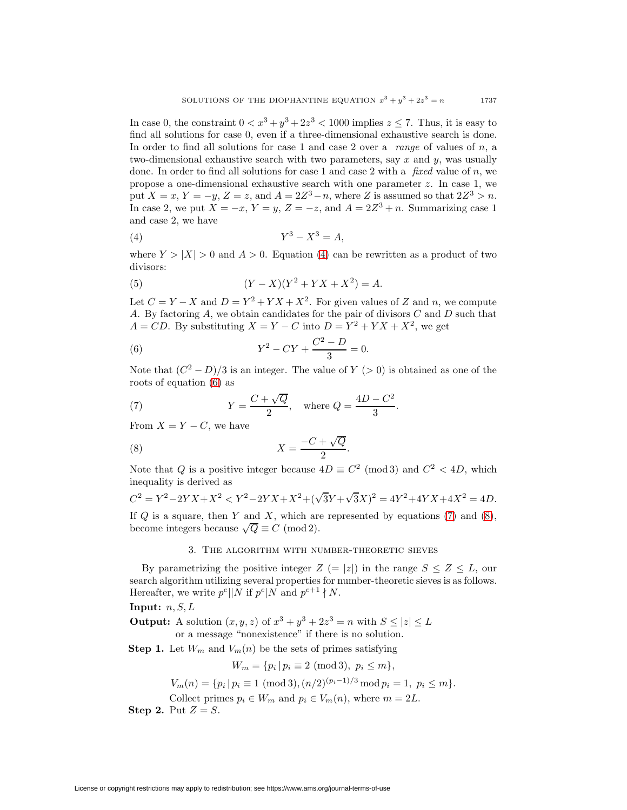In case 0, the constraint  $0 < x^3 + y^3 + 2z^3 < 1000$  implies  $z \le 7$ . Thus, it is easy to find all solutions for case 0, even if a three-dimensional exhaustive search is done. In order to find all solutions for case 1 and case 2 over a range of values of  $n$ , a two-dimensional exhaustive search with two parameters, say  $x$  and  $y$ , was usually done. In order to find all solutions for case 1 and case 2 with a  $fixed$  value of n, we propose a one-dimensional exhaustive search with one parameter z. In case 1, we put  $X = x$ ,  $Y = -y$ ,  $Z = z$ , and  $A = 2Z<sup>3</sup> - n$ , where Z is assumed so that  $2Z<sup>3</sup> > n$ . In case 2, we put  $X = -x$ ,  $Y = y$ ,  $Z = -z$ , and  $A = 2Z^3 + n$ . Summarizing case 1 and case 2, we have

<span id="page-2-0"></span>
$$
(4) \t\t Y^3 - X^3 = A,
$$

where  $Y > |X| > 0$  and  $A > 0$ . Equation [\(4\)](#page-2-0) can be rewritten as a product of two divisors:

(5) 
$$
(Y - X)(Y^2 + YX + X^2) = A.
$$

Let  $C = Y - X$  and  $D = Y^2 + YX + X^2$ . For given values of Z and n, we compute A. By factoring  $A$ , we obtain candidates for the pair of divisors  $C$  and  $D$  such that  $A = CD$ . By substituting  $X = Y - C$  into  $D = Y^2 + YX + X^2$ , we get

<span id="page-2-1"></span>(6) 
$$
Y^2 - CY + \frac{C^2 - D}{3} = 0.
$$

Note that  $(C^2 - D)/3$  is an integer. The value of  $Y > 0$  is obtained as one of the roots of equation [\(6\)](#page-2-1) as

<span id="page-2-2"></span>(7) 
$$
Y = \frac{C + \sqrt{Q}}{2}
$$
, where  $Q = \frac{4D - C^2}{3}$ .

From  $X = Y - C$ , we have

<span id="page-2-3"></span>
$$
X = \frac{-C + \sqrt{Q}}{2}.
$$

Note that Q is a positive integer because  $4D \equiv C^2 \pmod{3}$  and  $C^2 < 4D$ , which inequality is derived as

$$
C^{2} = Y^{2} - 2YX + X^{2} < Y^{2} - 2YX + X^{2} + (\sqrt{3}Y + \sqrt{3}X)^{2} = 4Y^{2} + 4YX + 4X^{2} = 4D.
$$

If  $Q$  is a square, then Y and X, which are represented by equations [\(7\)](#page-2-2) and [\(8\)](#page-2-3), become integers because  $\sqrt{Q} \equiv C \pmod{2}$ .

### 3. The algorithm with number-theoretic sieves

By parametrizing the positive integer  $Z (= |z|)$  in the range  $S \leq Z \leq L$ , our search algorithm utilizing several properties for number-theoretic sieves is as follows. Hereafter, we write  $p^e||N$  if  $p^e|N$  and  $p^{e+1} \nmid N$ .

**Input:**  $n, S, L$ 

**Output:** A solution  $(x, y, z)$  of  $x^3 + y^3 + 2z^3 = n$  with  $S \leq |z| \leq L$ or a message "nonexistence" if there is no solution.

**Step 1.** Let  $W_m$  and  $V_m(n)$  be the sets of primes satisfying

$$
W_m = \{ p_i \, | \, p_i \equiv 2 \; (\text{mod } 3), \; p_i \le m \},
$$

$$
V_m(n) = \{ p_i \, | \, p_i \equiv 1 \; (\text{mod } 3), (n/2)^{(p_i - 1)/3} \, \text{mod } p_i = 1, \; p_i \le m \}.
$$

Collect primes  $p_i \in W_m$  and  $p_i \in V_m(n)$ , where  $m = 2L$ .

**Step 2.** Put  $Z = S$ .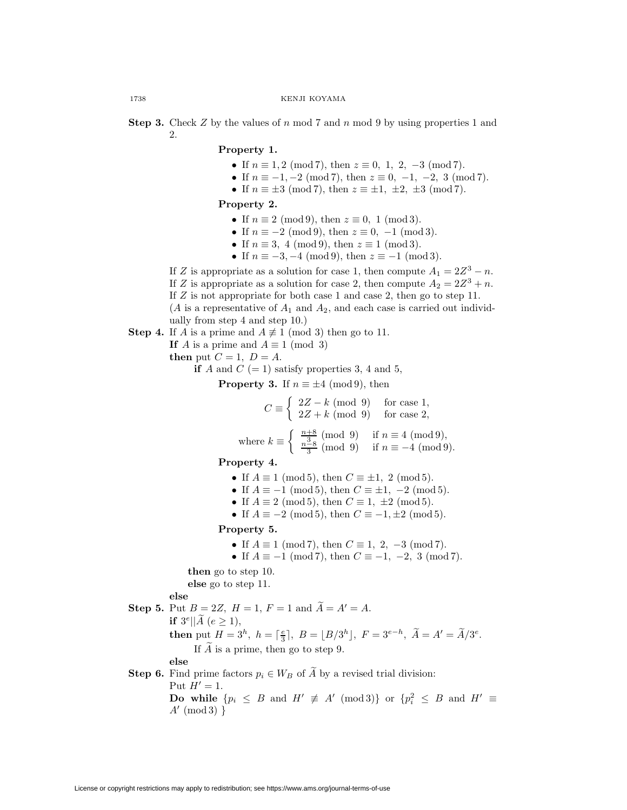**Step 3.** Check  $Z$  by the values of  $n \mod 7$  and  $n \mod 9$  by using properties 1 and 2.

### **Property 1.**

- If  $n \equiv 1, 2 \pmod{7}$ , then  $z \equiv 0, 1, 2, -3 \pmod{7}$ .
- If  $n \equiv -1, -2 \pmod{7}$ , then  $z \equiv 0, -1, -2, 3 \pmod{7}$ .
- If  $n \equiv \pm 3 \pmod{7}$ , then  $z \equiv \pm 1, \pm 2, \pm 3 \pmod{7}$ .

## **Property 2.**

- If  $n \equiv 2 \pmod{9}$ , then  $z \equiv 0, 1 \pmod{3}$ .
- If  $n \equiv -2 \pmod{9}$ , then  $z \equiv 0, -1 \pmod{3}$ .
- If  $n \equiv 3, 4 \pmod{9}$ , then  $z \equiv 1 \pmod{3}$ .
- If  $n \equiv -3, -4 \pmod{9}$ , then  $z \equiv -1 \pmod{3}$ .

If Z is appropriate as a solution for case 1, then compute  $A_1 = 2Z^3 - n$ .

If Z is appropriate as a solution for case 2, then compute  $A_2 = 2Z^3 + n$ .

If Z is not appropriate for both case 1 and case 2, then go to step 11.

(A is a representative of  $A_1$  and  $A_2$ , and each case is carried out individually from step 4 and step 10.)

- **Step 4.** If A is a prime and  $A \not\equiv 1 \pmod{3}$  then go to 11.
	- **If** A is a prime and  $A \equiv 1 \pmod{3}$

**then** put  $C = 1$ ,  $D = A$ .

**if** A and  $C$  (= 1) satisfy properties 3, 4 and 5,

**Property 3.** If  $n \equiv \pm 4 \pmod{9}$ , then

$$
C \equiv \begin{cases} 2Z - k \pmod{9} & \text{for case 1,} \\ 2Z + k \pmod{9} & \text{for case 2,} \end{cases}
$$

where 
$$
k \equiv \begin{cases} \frac{n+8}{3} \pmod{9} & \text{if } n \equiv 4 \pmod{9}, \\ \frac{n-8}{3} \pmod{9} & \text{if } n \equiv -4 \pmod{9}. \end{cases}
$$

**Property 4.**

- If  $A \equiv 1 \pmod{5}$ , then  $C \equiv \pm 1$ , 2 (mod 5).
- If  $A \equiv -1 \pmod{5}$ , then  $C \equiv \pm 1, -2 \pmod{5}$ .
- If  $A \equiv 2 \pmod{5}$ , then  $C \equiv 1, \pm 2 \pmod{5}$ .
- If  $A \equiv -2 \pmod{5}$ , then  $C \equiv -1, \pm 2 \pmod{5}$ .

## **Property 5.**

- If  $A \equiv 1 \pmod{7}$ , then  $C \equiv 1, 2, -3 \pmod{7}$ .
- If  $A \equiv -1 \pmod{7}$ , then  $C \equiv -1, -2, 3 \pmod{7}$ .

**then** go to step 10. **else** go to step 11.

**else**

**Step 5.** Put  $B = 2Z$ ,  $H = 1$ ,  $F = 1$  and  $\tilde{A} = A' = A$ .

**if**  $3^e || \tilde{A} (e \ge 1),$ 

**then** put  $H = 3^h$ ,  $h = \lceil \frac{e}{3} \rceil$ ,  $B = \lfloor B/3^h \rfloor$ ,  $F = 3^{e-h}$ ,  $\tilde{A} = A' = \tilde{A}/3^e$ . If  $\ddot{A}$  is a prime, then go to step 9.

**else**

# **Step 6.** Find prime factors  $p_i \in W_B$  of  $\widetilde{A}$  by a revised trial division: Put  $H' = 1$ . **Do while**  $\{p_i \leq B \text{ and } H' \neq A' \pmod{3}\}$  or  $\{p_i^2 \leq B \text{ and } H' \equiv A_1\}$  $A' \pmod{3}$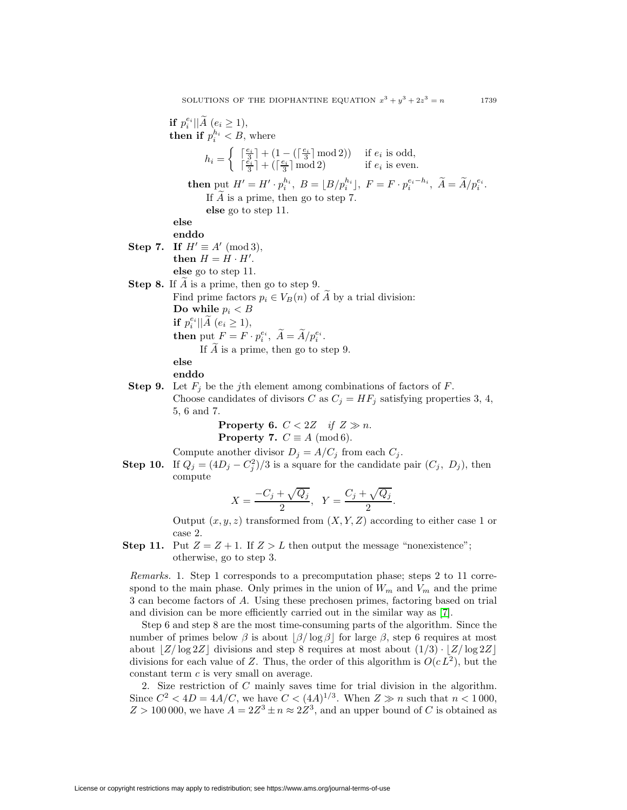**if**  $p_i^{e_i} || \widetilde{A} (e_i \geq 1),$ **then if**  $p_i^{h_i} < B$ , where  $h_i = \begin{cases} \begin{bmatrix} \frac{e_i}{3} \end{bmatrix} + (1 - (\begin{bmatrix} \frac{e_i}{3} \end{bmatrix} \text{mod} 2)) & \text{if } e_i \text{ is odd,} \\ \frac{e_i}{3} \end{bmatrix}$  $\lceil \frac{e_i}{3} \rceil + \lceil \frac{e_i}{3} \rceil \bmod 2$  if  $e_i$  is even. **then** put  $H' = H' \cdot p_i^{h_i}$ ,  $B = [B/p_i^{h_i}]$ ,  $F = F \cdot p_i^{e_i - h_i}$ ,  $\widetilde{A} = \widetilde{A}/p_i^{e_i}$ . If  $\tilde{A}$  is a prime, then go to step 7. **else** go to step 11. **else enddo Step 7.** If  $H' \equiv A' \pmod{3}$ ,  $\mathbf{then} \ H = H \cdot H'.$ **else** go to step 11. **Step 8.** If A is a prime, then go to step 9. Find prime factors  $p_i \in V_B(n)$  of A by a trial division: Do while  $p_i < B$ **if**  $p_i^{e_i} || \widetilde{A} (e_i \geq 1),$ **then** put  $F = F \cdot p_i^{e_i}$ ,  $\widetilde{A} = \widetilde{A}/p_i^{e_i}$ . If  $\tilde{A}$  is a prime, then go to step 9. **else enddo Step 9.** Let  $F_j$  be the j<sup>th</sup> element among combinations of factors of  $F$ . Choose candidates of divisors C as  $C_j = HF_j$  satisfying properties 3, 4, 5, 6 and 7.

> **Property 6.**  $C < 2Z$  if  $Z \gg n$ . **Property 7.**  $C \equiv A \pmod{6}$ .

Compute another divisor  $D_j = A/C_j$  from each  $C_j$ .

**Step 10.** If  $Q_j = (4D_j - C_j^2)/3$  is a square for the candidate pair  $(C_j, D_j)$ , then compute

$$
X = \frac{-C_j + \sqrt{Q_j}}{2}, \quad Y = \frac{C_j + \sqrt{Q_j}}{2}.
$$

Output  $(x, y, z)$  transformed from  $(X, Y, Z)$  according to either case 1 or case 2.

**Step 11.** Put  $Z = Z + 1$ . If  $Z > L$  then output the message "nonexistence"; otherwise, go to step 3.

Remarks. 1. Step 1 corresponds to a precomputation phase; steps 2 to 11 correspond to the main phase. Only primes in the union of  $W_m$  and  $V_m$  and the prime 3 can become factors of A. Using these prechosen primes, factoring based on trial and division can be more efficiently carried out in the similar way as [\[7\]](#page-7-3).

Step 6 and step 8 are the most time-consuming parts of the algorithm. Since the number of primes below  $\beta$  is about  $\beta$ / log  $\beta$  for large  $\beta$ , step 6 requires at most about  $\left|Z/\log 2Z\right|$  divisions and step 8 requires at most about  $\left(1/3\right) \cdot \left|Z/\log 2Z\right|$ divisions for each value of Z. Thus, the order of this algorithm is  $O(c L^2)$ , but the constant term c is very small on average.

2. Size restriction of C mainly saves time for trial division in the algorithm. Since  $C^2 < 4D = 4A/C$ , we have  $C < (4A)^{1/3}$ . When  $Z \gg n$  such that  $n < 1000$ ,  $Z > 100000$ , we have  $A = 2Z^3 \pm n \approx 2Z^3$ , and an upper bound of C is obtained as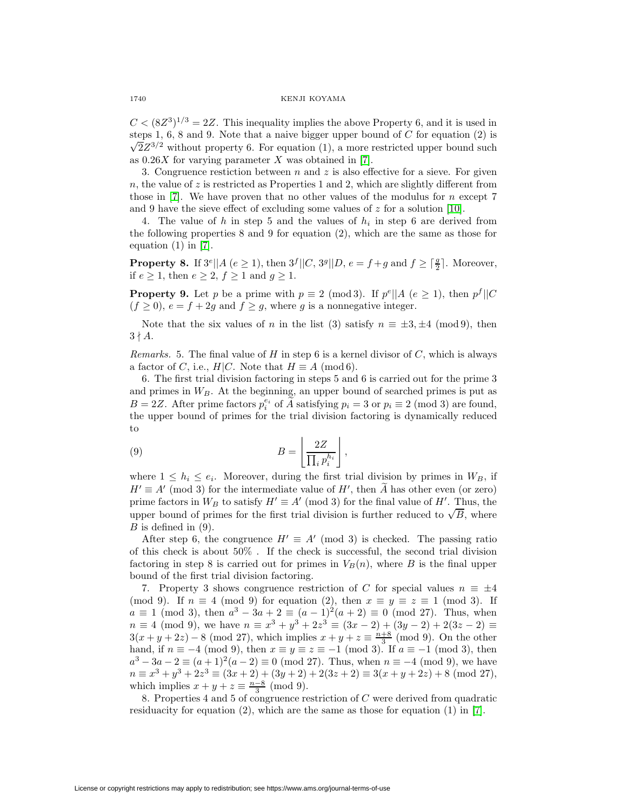$C < (8Z^3)^{1/3} = 2Z$ . This inequality implies the above Property 6, and it is used in steps 1, 6, 8 and 9. Note that a naive bigger upper bound of  $C$  for equation  $(2)$  is  $\sqrt{2}Z^{3/2}$  without property 6. For equation (1), a more restricted upper bound such as  $0.26X$  for varying parameter X was obtained in [\[7\]](#page-7-3).

3. Congruence restiction between n and z is also effective for a sieve. For given  $n$ , the value of  $z$  is restricted as Properties 1 and 2, which are slightly different from those in  $[7]$ . We have proven that no other values of the modulus for n except 7 and 9 have the sieve effect of excluding some values of  $z$  for a solution [\[10\]](#page-7-5).

4. The value of h in step 5 and the values of  $h_i$  in step 6 are derived from the following properties 8 and 9 for equation (2), which are the same as those for equation  $(1)$  in  $[7]$ .

**Property 8.** If  $3^e \parallel A \ (e \geq 1)$ , then  $3^f \parallel C$ ,  $3^g \parallel D$ ,  $e = f + g$  and  $f \geq \lceil \frac{g}{2} \rceil$ . Moreover, if  $e \geq 1$ , then  $e \geq 2$ ,  $f \geq 1$  and  $g \geq 1$ .

**Property 9.** Let p be a prime with  $p \equiv 2 \pmod{3}$ . If  $p^e||A(e \ge 1)$ , then  $p^f||C$  $(f \geq 0)$ ,  $e = f + 2g$  and  $f \geq g$ , where g is a nonnegative integer.

Note that the six values of n in the list (3) satisfy  $n \equiv \pm 3, \pm 4 \pmod{9}$ , then  $3 \nmid A$ .

Remarks. 5. The final value of H in step 6 is a kernel divisor of  $C$ , which is always a factor of C, i.e.,  $H|C$ . Note that  $H \equiv A \pmod{6}$ .

6. The first trial division factoring in steps 5 and 6 is carried out for the prime 3 and primes in  $W_B$ . At the beginning, an upper bound of searched primes is put as  $B = 2Z$ . After prime factors  $p_i^{e_i}$  of  $\widetilde{A}$  satisfying  $p_i = 3$  or  $p_i \equiv 2 \pmod{3}$  are found, the upper bound of primes for the trial division factoring is dynamically reduced to

(9) 
$$
B = \left[ \frac{2Z}{\prod_i p_i^{h_i}} \right],
$$

where  $1 \leq h_i \leq e_i$ . Moreover, during the first trial division by primes in  $W_B$ , if  $H' \equiv A' \pmod{3}$  for the intermediate value of  $H'$ , then A has other even (or zero) prime factors in  $W_B$  to satisfy  $H' \equiv A' \pmod{3}$  for the final value of  $H'$ . Thus, the prime factors in  $W_B$  to satisfy  $H = A$  (mod 3) for the final value of  $H$ . Thus, the upper bound of primes for the first trial division is further reduced to  $\sqrt{B}$ , where  $B$  is defined in  $(9)$ .

After step 6, the congruence  $H' \equiv A' \pmod{3}$  is checked. The passing ratio of this check is about 50% . If the check is successful, the second trial division factoring in step 8 is carried out for primes in  $V_B(n)$ , where B is the final upper bound of the first trial division factoring.

7. Property 3 shows congruence restriction of C for special values  $n \equiv \pm 4$ (mod 9). If  $n \equiv 4 \pmod{9}$  for equation (2), then  $x \equiv y \equiv z \equiv 1 \pmod{3}$ . If  $a \equiv 1 \pmod{3}$ , then  $a^3 - 3a + 2 \equiv (a-1)^2(a+2) \equiv 0 \pmod{27}$ . Thus, when  $n \equiv 4 \pmod{9}$ , we have  $n \equiv x^3 + y^3 + 2z^3 \equiv (3x - 2) + (3y - 2) + 2(3z - 2) \equiv$  $3(x+y+2z) - 8 \pmod{27}$ , which implies  $x+y+z \equiv \frac{n+8}{3} \pmod{9}$ . On the other hand, if  $n \equiv -4 \pmod{9}$ , then  $x \equiv y \equiv z \equiv -1 \pmod{3}$ . If  $a \equiv -1 \pmod{3}$ , then  $a^3 - 3a - 2 \equiv (a+1)^2(a-2) \equiv 0 \pmod{27}$ . Thus, when  $n \equiv -4 \pmod{9}$ , we have  $n \equiv x^3 + y^3 + 2z^3 \equiv (3x + 2) + (3y + 2) + 2(3z + 2) \equiv 3(x + y + 2z) + 8 \pmod{27}$ , which implies  $x + y + z \equiv \frac{n-8}{3} \pmod{9}$ .

8. Properties 4 and 5 of congruence restriction of C were derived from quadratic residuacity for equation (2), which are the same as those for equation (1) in [\[7\]](#page-7-3).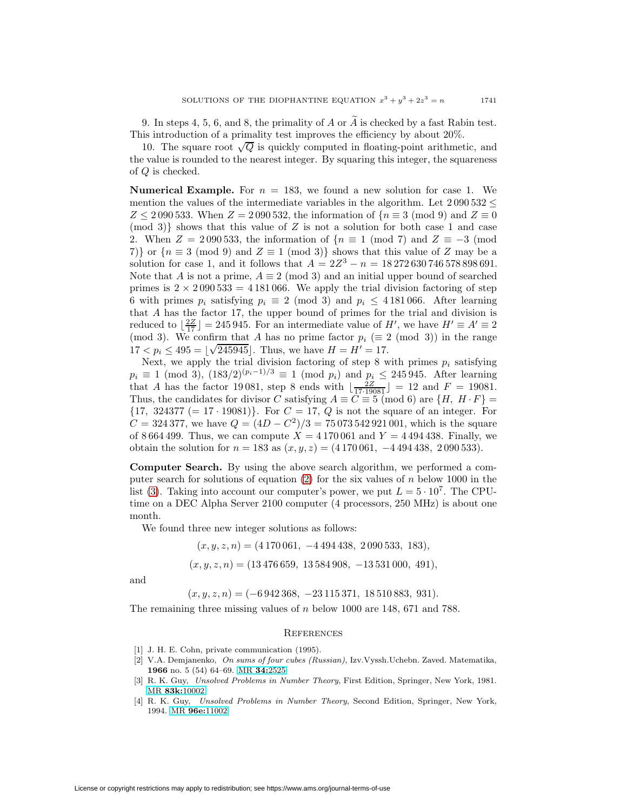9. In steps 4, 5, 6, and 8, the primality of  $A$  or  $\overline{A}$  is checked by a fast Rabin test. This introduction of a primality test improves the efficiency by about 20%.

10. The square root  $\sqrt{Q}$  is quickly computed in floating-point arithmetic, and the value is rounded to the nearest integer. By squaring this integer, the squareness of Q is checked.

**Numerical Example.** For  $n = 183$ , we found a new solution for case 1. We mention the values of the intermediate variables in the algorithm. Let  $2\,090\,532 \leq$  $Z \le 2090\,533$ . When  $Z = 2090\,532$ , the information of  $\{n \equiv 3 \pmod{9} \text{ and } Z \equiv 0\}$  $p(\text{mod } 3)$  shows that this value of Z is not a solution for both case 1 and case 2. When  $Z = 2090533$ , the information of  $\{n \equiv 1 \pmod{7} \text{ and } Z \equiv -3 \pmod{7}\}$ 7)} or  ${n \equiv 3 \pmod{9}$  and  $Z \equiv 1 \pmod{3}$  shows that this value of Z may be a solution for case 1, and it follows that  $A = 2Z^3 - n = 18\,272\,630\,746\,578\,898\,691$ . Note that A is not a prime,  $A \equiv 2 \pmod{3}$  and an initial upper bound of searched primes is  $2 \times 2090533 = 4181066$ . We apply the trial division factoring of step 6 with primes  $p_i$  satisfying  $p_i \equiv 2 \pmod{3}$  and  $p_i \leq 4.181,066$ . After learning that A has the factor 17, the upper bound of primes for the trial and division is reduced to  $\lfloor \frac{2Z}{17} \rfloor = 245\,945$ . For an intermediate value of H', we have  $H' \equiv A' \equiv 2$ (mod 3). We confirm that A has no prime factor  $p_i \ (\equiv 2 \pmod{3})$  in the range (mod 3). We commit that A has no prime factor  $p_i = 2$ <br>17 <  $p_i \le 495 = \lfloor \sqrt{245945} \rfloor$ . Thus, we have  $H = H' = 17$ .

Next, we apply the trial division factoring of step 8 with primes  $p_i$  satisfying  $p_i \equiv 1 \pmod{3}$ ,  $(183/2)^{(p_i-1)/3} \equiv 1 \pmod{p_i}$  and  $p_i \le 245945$ . After learning that A has the factor 19081, step 8 ends with  $\left\lfloor \frac{2Z}{7 \cdot 19081} \right\rfloor = 12$  and  $F = 19081$ . Thus, the candidates for divisor C satisfying  $A \equiv \tilde{C} \equiv 5 \pmod{6}$  are  $\{H, H \cdot F\} =$  ${17, 324377 (= 17 \cdot 19081)}.$  For  $C = 17, Q$  is not the square of an integer. For  $C = 324\,377$ , we have  $Q = (4D - C^2)/3 = 75\,073\,542\,921\,001$ , which is the square of 8664499. Thus, we can compute  $X = 4170061$  and  $Y = 4494438$ . Finally, we obtain the solution for  $n = 183$  as  $(x, y, z) = (4170061, -4494438, 2090533)$ .

**Computer Search.** By using the above search algorithm, we performed a com-puter search for solutions of equation [\(2\)](#page-0-1) for the six values of  $n$  below 1000 in the list [\(3\)](#page-1-0). Taking into account our computer's power, we put  $L = 5 \cdot 10^7$ . The CPUtime on a DEC Alpha Server 2100 computer (4 processors, 250 MHz) is about one month.

We found three new integer solutions as follows:

$$
(x, y, z, n) = (4170061, -4494438, 2090533, 183),
$$
  

$$
(x, y, z, n) = (13476659, 13584908, -13531000, 491),
$$

and

 $(x, y, z, n) = (-6942368, -23115371, 18510883, 931).$ 

The remaining three missing values of n below 1000 are 148, 671 and 788.

### **REFERENCES**

- <span id="page-6-3"></span><span id="page-6-0"></span>[1] J. H. E. Cohn, private communication (1995).
- [2] V.A. Demjanenko, On sums of four cubes (Russian), Izv.Vyssh.Uchebn. Zaved. Matematika, **1966** no. 5 (54) 64–69. MR **34:**[2525](http://www.ams.org/mathscinet-getitem?mr=34:2525)
- <span id="page-6-1"></span>[3] R. K. Guy, Unsolved Problems in Number Theory, First Edition, Springer, New York, 1981. MR **83k:**[10002](http://www.ams.org/mathscinet-getitem?mr=83k:10002)
- <span id="page-6-2"></span>[4] R. K. Guy, Unsolved Problems in Number Theory, Second Edition, Springer, New York, 1994. MR **96e:**[11002](http://www.ams.org/mathscinet-getitem?mr=96e:11002)